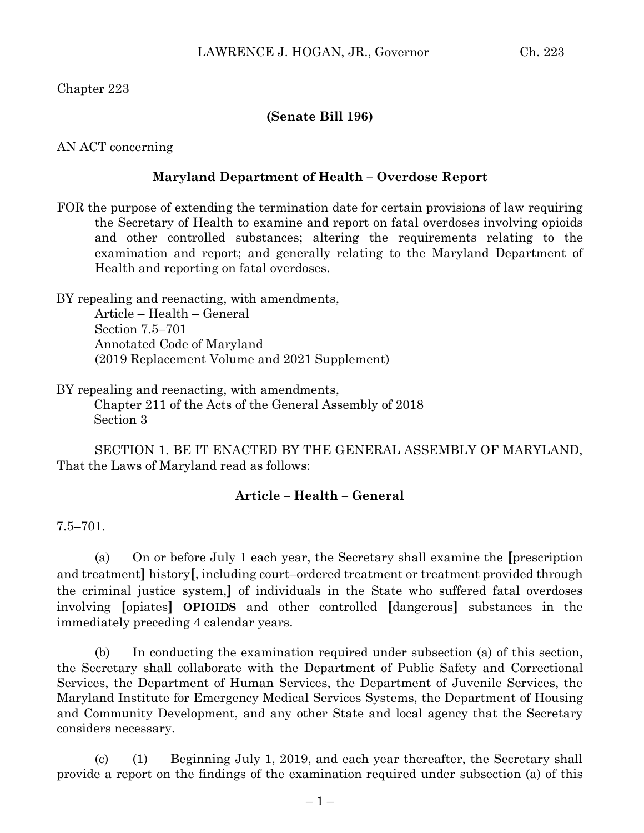Chapter 223

## **(Senate Bill 196)**

AN ACT concerning

## **Maryland Department of Health – Overdose Report**

FOR the purpose of extending the termination date for certain provisions of law requiring the Secretary of Health to examine and report on fatal overdoses involving opioids and other controlled substances; altering the requirements relating to the examination and report; and generally relating to the Maryland Department of Health and reporting on fatal overdoses.

BY repealing and reenacting, with amendments,

Article – Health – General Section 7.5–701 Annotated Code of Maryland (2019 Replacement Volume and 2021 Supplement)

BY repealing and reenacting, with amendments, Chapter 211 of the Acts of the General Assembly of 2018 Section 3

SECTION 1. BE IT ENACTED BY THE GENERAL ASSEMBLY OF MARYLAND, That the Laws of Maryland read as follows:

#### **Article – Health – General**

7.5–701.

(a) On or before July 1 each year, the Secretary shall examine the **[**prescription and treatment**]** history**[**, including court–ordered treatment or treatment provided through the criminal justice system,**]** of individuals in the State who suffered fatal overdoses involving **[**opiates**] OPIOIDS** and other controlled **[**dangerous**]** substances in the immediately preceding 4 calendar years.

(b) In conducting the examination required under subsection (a) of this section, the Secretary shall collaborate with the Department of Public Safety and Correctional Services, the Department of Human Services, the Department of Juvenile Services, the Maryland Institute for Emergency Medical Services Systems, the Department of Housing and Community Development, and any other State and local agency that the Secretary considers necessary.

(c) (1) Beginning July 1, 2019, and each year thereafter, the Secretary shall provide a report on the findings of the examination required under subsection (a) of this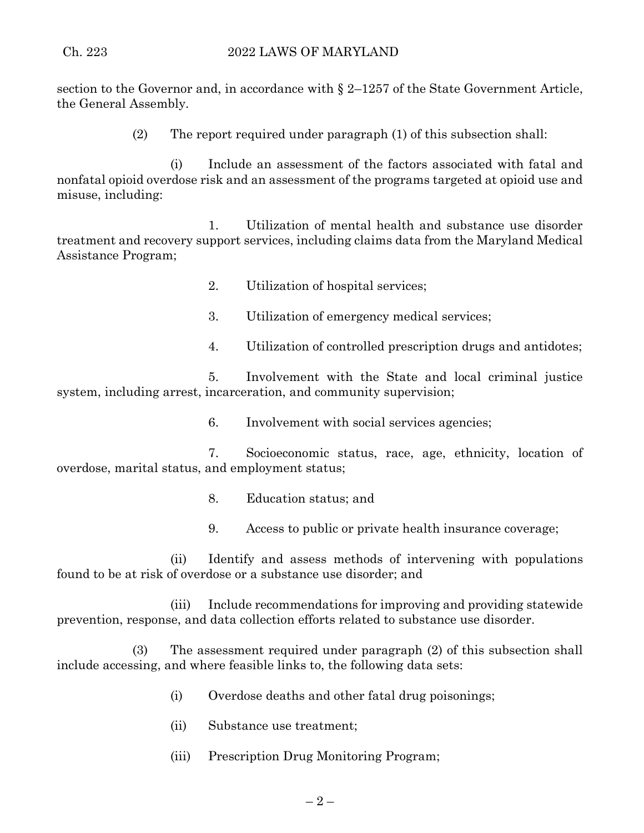section to the Governor and, in accordance with § 2–1257 of the State Government Article, the General Assembly.

(2) The report required under paragraph (1) of this subsection shall:

(i) Include an assessment of the factors associated with fatal and nonfatal opioid overdose risk and an assessment of the programs targeted at opioid use and misuse, including:

1. Utilization of mental health and substance use disorder treatment and recovery support services, including claims data from the Maryland Medical Assistance Program;

2. Utilization of hospital services;

- 3. Utilization of emergency medical services;
- 4. Utilization of controlled prescription drugs and antidotes;

5. Involvement with the State and local criminal justice system, including arrest, incarceration, and community supervision;

6. Involvement with social services agencies;

7. Socioeconomic status, race, age, ethnicity, location of overdose, marital status, and employment status;

- 8. Education status; and
- 9. Access to public or private health insurance coverage;

(ii) Identify and assess methods of intervening with populations found to be at risk of overdose or a substance use disorder; and

(iii) Include recommendations for improving and providing statewide prevention, response, and data collection efforts related to substance use disorder.

(3) The assessment required under paragraph (2) of this subsection shall include accessing, and where feasible links to, the following data sets:

- (i) Overdose deaths and other fatal drug poisonings;
- (ii) Substance use treatment;
- (iii) Prescription Drug Monitoring Program;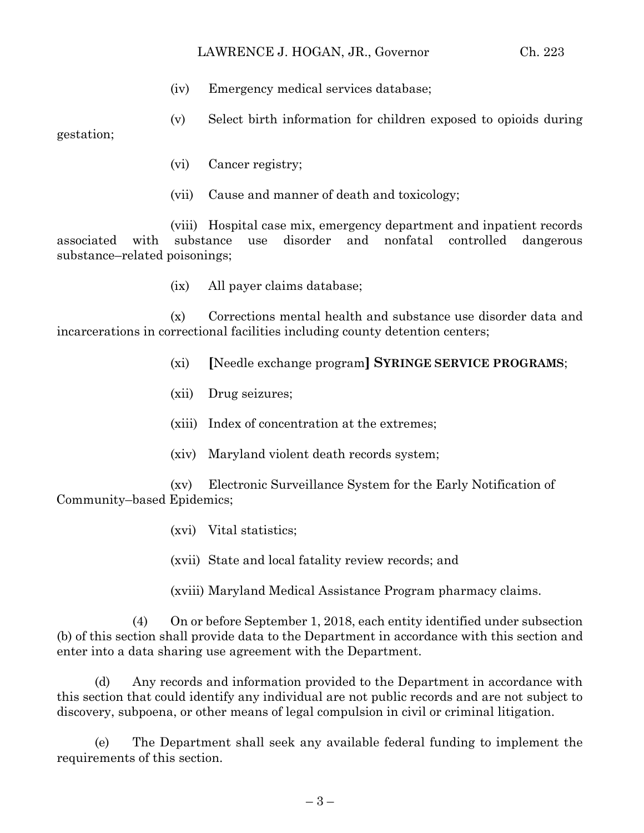## LAWRENCE J. HOGAN, JR., Governor Ch. 223

- (iv) Emergency medical services database;
- (v) Select birth information for children exposed to opioids during

gestation;

- (vi) Cancer registry;
- (vii) Cause and manner of death and toxicology;

(viii) Hospital case mix, emergency department and inpatient records associated with substance use disorder and nonfatal controlled dangerous substance–related poisonings;

(ix) All payer claims database;

(x) Corrections mental health and substance use disorder data and incarcerations in correctional facilities including county detention centers;

- (xi) **[**Needle exchange program**] SYRINGE SERVICE PROGRAMS**;
- (xii) Drug seizures;
- (xiii) Index of concentration at the extremes;
- (xiv) Maryland violent death records system;

(xv) Electronic Surveillance System for the Early Notification of Community–based Epidemics;

- (xvi) Vital statistics;
- (xvii) State and local fatality review records; and

(xviii) Maryland Medical Assistance Program pharmacy claims.

(4) On or before September 1, 2018, each entity identified under subsection (b) of this section shall provide data to the Department in accordance with this section and enter into a data sharing use agreement with the Department.

(d) Any records and information provided to the Department in accordance with this section that could identify any individual are not public records and are not subject to discovery, subpoena, or other means of legal compulsion in civil or criminal litigation.

(e) The Department shall seek any available federal funding to implement the requirements of this section.